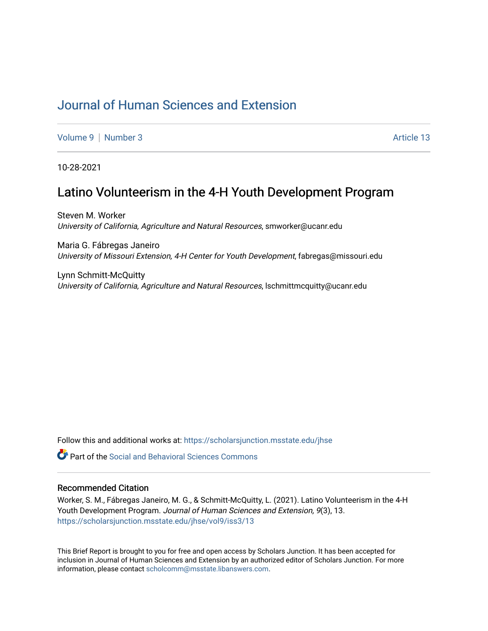# [Journal of Human Sciences and Extension](https://scholarsjunction.msstate.edu/jhse)

[Volume 9](https://scholarsjunction.msstate.edu/jhse/vol9) | [Number 3](https://scholarsjunction.msstate.edu/jhse/vol9/iss3) Article 13

10-28-2021

## Latino Volunteerism in the 4-H Youth Development Program

Steven M. Worker University of California, Agriculture and Natural Resources, smworker@ucanr.edu

Maria G. Fábregas Janeiro University of Missouri Extension, 4-H Center for Youth Development, fabregas@missouri.edu

Lynn Schmitt-McQuitty University of California, Agriculture and Natural Resources, lschmittmcquitty@ucanr.edu

Follow this and additional works at: [https://scholarsjunction.msstate.edu/jhse](https://scholarsjunction.msstate.edu/jhse?utm_source=scholarsjunction.msstate.edu%2Fjhse%2Fvol9%2Fiss3%2F13&utm_medium=PDF&utm_campaign=PDFCoverPages)

**C** Part of the Social and Behavioral Sciences Commons

#### Recommended Citation

Worker, S. M., Fábregas Janeiro, M. G., & Schmitt-McQuitty, L. (2021). Latino Volunteerism in the 4-H Youth Development Program. Journal of Human Sciences and Extension, 9(3), 13. [https://scholarsjunction.msstate.edu/jhse/vol9/iss3/13](https://scholarsjunction.msstate.edu/jhse/vol9/iss3/13?utm_source=scholarsjunction.msstate.edu%2Fjhse%2Fvol9%2Fiss3%2F13&utm_medium=PDF&utm_campaign=PDFCoverPages) 

This Brief Report is brought to you for free and open access by Scholars Junction. It has been accepted for inclusion in Journal of Human Sciences and Extension by an authorized editor of Scholars Junction. For more information, please contact [scholcomm@msstate.libanswers.com](mailto:scholcomm@msstate.libanswers.com).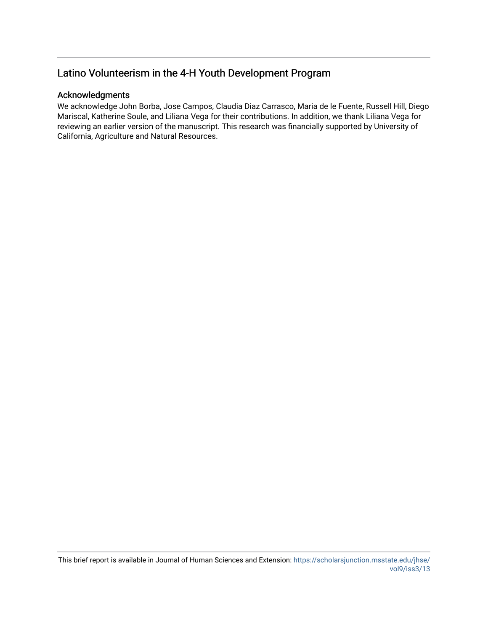#### Acknowledgments

We acknowledge John Borba, Jose Campos, Claudia Diaz Carrasco, Maria de le Fuente, Russell Hill, Diego Mariscal, Katherine Soule, and Liliana Vega for their contributions. In addition, we thank Liliana Vega for reviewing an earlier version of the manuscript. This research was financially supported by University of California, Agriculture and Natural Resources.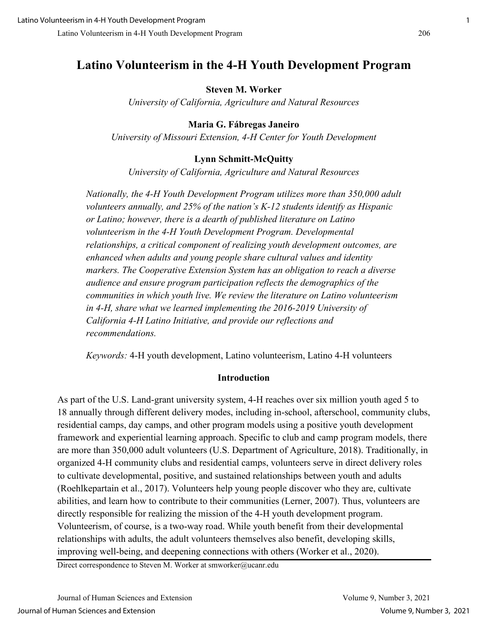#### **Steven M. Worker**

*University of California, Agriculture and Natural Resources* 

## **Maria G. Fábregas Janeiro**

*University of Missouri Extension, 4-H Center for Youth Development*

## **Lynn Schmitt-McQuitty**

*University of California, Agriculture and Natural Resources* 

*Nationally, the 4-H Youth Development Program utilizes more than 350,000 adult volunteers annually, and 25% of the nation's K-12 students identify as Hispanic or Latino; however, there is a dearth of published literature on Latino volunteerism in the 4-H Youth Development Program. Developmental relationships, a critical component of realizing youth development outcomes, are enhanced when adults and young people share cultural values and identity markers. The Cooperative Extension System has an obligation to reach a diverse audience and ensure program participation reflects the demographics of the communities in which youth live. We review the literature on Latino volunteerism in 4-H, share what we learned implementing the 2016-2019 University of California 4-H Latino Initiative, and provide our reflections and recommendations.* 

*Keywords:* 4-H youth development, Latino volunteerism, Latino 4-H volunteers

#### **Introduction**

As part of the U.S. Land-grant university system, 4-H reaches over six million youth aged 5 to 18 annually through different delivery modes, including in-school, afterschool, community clubs, residential camps, day camps, and other program models using a positive youth development framework and experiential learning approach. Specific to club and camp program models, there are more than 350,000 adult volunteers (U.S. Department of Agriculture, 2018). Traditionally, in organized 4-H community clubs and residential camps, volunteers serve in direct delivery roles to cultivate developmental, positive, and sustained relationships between youth and adults (Roehlkepartain et al., 2017). Volunteers help young people discover who they are, cultivate abilities, and learn how to contribute to their communities (Lerner, 2007). Thus, volunteers are directly responsible for realizing the mission of the 4-H youth development program. Volunteerism, of course, is a two-way road. While youth benefit from their developmental relationships with adults, the adult volunteers themselves also benefit, developing skills, improving well-being, and deepening connections with others (Worker et al., 2020).

Direct correspondence to Steven M. Worker at smworker@ucanr.edu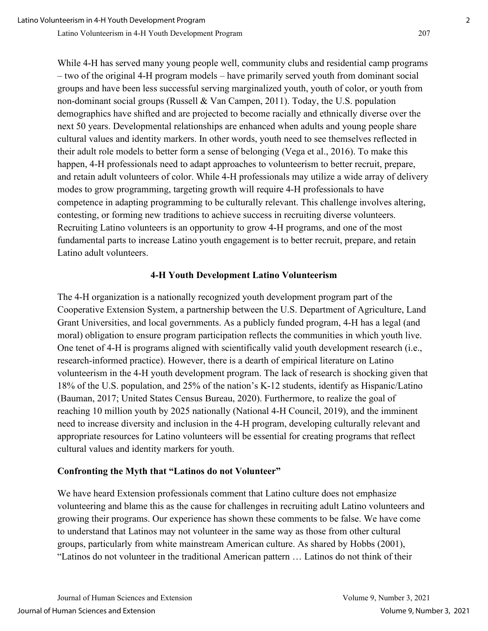While 4-H has served many young people well, community clubs and residential camp programs – two of the original 4-H program models – have primarily served youth from dominant social groups and have been less successful serving marginalized youth, youth of color, or youth from non-dominant social groups (Russell & Van Campen, 2011). Today, the U.S. population demographics have shifted and are projected to become racially and ethnically diverse over the next 50 years. Developmental relationships are enhanced when adults and young people share cultural values and identity markers. In other words, youth need to see themselves reflected in their adult role models to better form a sense of belonging (Vega et al., 2016). To make this happen, 4-H professionals need to adapt approaches to volunteerism to better recruit, prepare, and retain adult volunteers of color. While 4-H professionals may utilize a wide array of delivery modes to grow programming, targeting growth will require 4-H professionals to have competence in adapting programming to be culturally relevant. This challenge involves altering, contesting, or forming new traditions to achieve success in recruiting diverse volunteers. Recruiting Latino volunteers is an opportunity to grow 4-H programs, and one of the most fundamental parts to increase Latino youth engagement is to better recruit, prepare, and retain Latino adult volunteers.

#### **4-H Youth Development Latino Volunteerism**

The 4-H organization is a nationally recognized youth development program part of the Cooperative Extension System, a partnership between the U.S. Department of Agriculture, Land Grant Universities, and local governments. As a publicly funded program, 4-H has a legal (and moral) obligation to ensure program participation reflects the communities in which youth live. One tenet of 4-H is programs aligned with scientifically valid youth development research (i.e., research-informed practice). However, there is a dearth of empirical literature on Latino volunteerism in the 4-H youth development program. The lack of research is shocking given that 18% of the U.S. population, and 25% of the nation's K-12 students, identify as Hispanic/Latino (Bauman, 2017; United States Census Bureau, 2020). Furthermore, to realize the goal of reaching 10 million youth by 2025 nationally (National 4-H Council, 2019), and the imminent need to increase diversity and inclusion in the 4-H program, developing culturally relevant and appropriate resources for Latino volunteers will be essential for creating programs that reflect cultural values and identity markers for youth.

## **Confronting the Myth that "Latinos do not Volunteer"**

We have heard Extension professionals comment that Latino culture does not emphasize volunteering and blame this as the cause for challenges in recruiting adult Latino volunteers and growing their programs. Our experience has shown these comments to be false. We have come to understand that Latinos may not volunteer in the same way as those from other cultural groups, particularly from white mainstream American culture. As shared by Hobbs (2001), "Latinos do not volunteer in the traditional American pattern … Latinos do not think of their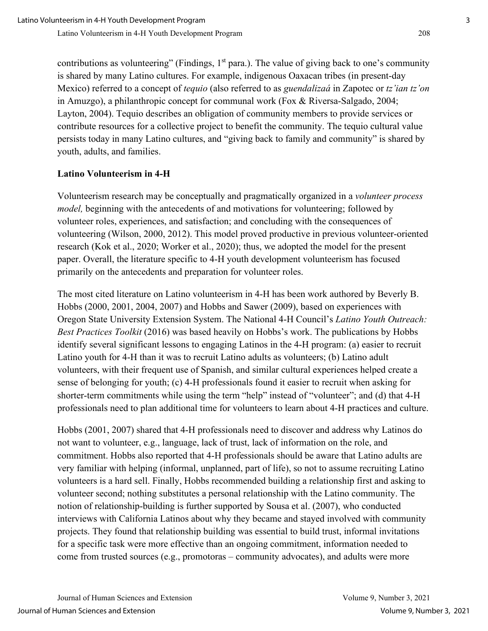contributions as volunteering" (Findings,  $1<sup>st</sup>$  para.). The value of giving back to one's community is shared by many Latino cultures. For example, indigenous Oaxacan tribes (in present-day Mexico) referred to a concept of *tequio* (also referred to as *guendalizaá* in Zapotec or *tz'ian tz'on* in Amuzgo), a philanthropic concept for communal work (Fox & Riversa-Salgado, 2004; Layton, 2004). Tequio describes an obligation of community members to provide services or contribute resources for a collective project to benefit the community. The tequio cultural value persists today in many Latino cultures, and "giving back to family and community" is shared by youth, adults, and families.

## **Latino Volunteerism in 4-H**

Volunteerism research may be conceptually and pragmatically organized in a *volunteer process model,* beginning with the antecedents of and motivations for volunteering; followed by volunteer roles, experiences, and satisfaction; and concluding with the consequences of volunteering (Wilson, 2000, 2012). This model proved productive in previous volunteer-oriented research (Kok et al., 2020; Worker et al., 2020); thus, we adopted the model for the present paper. Overall, the literature specific to 4-H youth development volunteerism has focused primarily on the antecedents and preparation for volunteer roles.

The most cited literature on Latino volunteerism in 4-H has been work authored by Beverly B. Hobbs (2000, 2001, 2004, 2007) and Hobbs and Sawer (2009), based on experiences with Oregon State University Extension System. The National 4-H Council's *Latino Youth Outreach: Best Practices Toolkit* (2016) was based heavily on Hobbs's work. The publications by Hobbs identify several significant lessons to engaging Latinos in the 4-H program: (a) easier to recruit Latino youth for 4-H than it was to recruit Latino adults as volunteers; (b) Latino adult volunteers, with their frequent use of Spanish, and similar cultural experiences helped create a sense of belonging for youth; (c) 4-H professionals found it easier to recruit when asking for shorter-term commitments while using the term "help" instead of "volunteer"; and (d) that 4-H professionals need to plan additional time for volunteers to learn about 4-H practices and culture.

Hobbs (2001, 2007) shared that 4-H professionals need to discover and address why Latinos do not want to volunteer, e.g., language, lack of trust, lack of information on the role, and commitment. Hobbs also reported that 4-H professionals should be aware that Latino adults are very familiar with helping (informal, unplanned, part of life), so not to assume recruiting Latino volunteers is a hard sell. Finally, Hobbs recommended building a relationship first and asking to volunteer second; nothing substitutes a personal relationship with the Latino community. The notion of relationship-building is further supported by Sousa et al. (2007), who conducted interviews with California Latinos about why they became and stayed involved with community projects. They found that relationship building was essential to build trust, informal invitations for a specific task were more effective than an ongoing commitment, information needed to come from trusted sources (e.g., promotoras – community advocates), and adults were more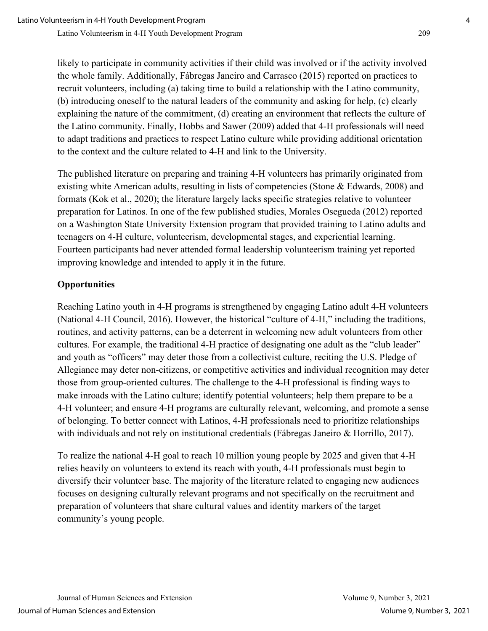likely to participate in community activities if their child was involved or if the activity involved the whole family. Additionally, Fábregas Janeiro and Carrasco (2015) reported on practices to recruit volunteers, including (a) taking time to build a relationship with the Latino community, (b) introducing oneself to the natural leaders of the community and asking for help, (c) clearly explaining the nature of the commitment, (d) creating an environment that reflects the culture of the Latino community. Finally, Hobbs and Sawer (2009) added that 4-H professionals will need to adapt traditions and practices to respect Latino culture while providing additional orientation to the context and the culture related to 4-H and link to the University.

The published literature on preparing and training 4-H volunteers has primarily originated from existing white American adults, resulting in lists of competencies (Stone & Edwards, 2008) and formats (Kok et al., 2020); the literature largely lacks specific strategies relative to volunteer preparation for Latinos. In one of the few published studies, Morales Osegueda (2012) reported on a Washington State University Extension program that provided training to Latino adults and teenagers on 4-H culture, volunteerism, developmental stages, and experiential learning. Fourteen participants had never attended formal leadership volunteerism training yet reported improving knowledge and intended to apply it in the future.

## **Opportunities**

Reaching Latino youth in 4-H programs is strengthened by engaging Latino adult 4-H volunteers (National 4-H Council, 2016). However, the historical "culture of 4-H," including the traditions, routines, and activity patterns, can be a deterrent in welcoming new adult volunteers from other cultures. For example, the traditional 4-H practice of designating one adult as the "club leader" and youth as "officers" may deter those from a collectivist culture, reciting the U.S. Pledge of Allegiance may deter non-citizens, or competitive activities and individual recognition may deter those from group-oriented cultures. The challenge to the 4-H professional is finding ways to make inroads with the Latino culture; identify potential volunteers; help them prepare to be a 4-H volunteer; and ensure 4-H programs are culturally relevant, welcoming, and promote a sense of belonging. To better connect with Latinos, 4-H professionals need to prioritize relationships with individuals and not rely on institutional credentials (Fábregas Janeiro & Horrillo, 2017).

To realize the national 4-H goal to reach 10 million young people by 2025 and given that 4-H relies heavily on volunteers to extend its reach with youth, 4-H professionals must begin to diversify their volunteer base. The majority of the literature related to engaging new audiences focuses on designing culturally relevant programs and not specifically on the recruitment and preparation of volunteers that share cultural values and identity markers of the target community's young people.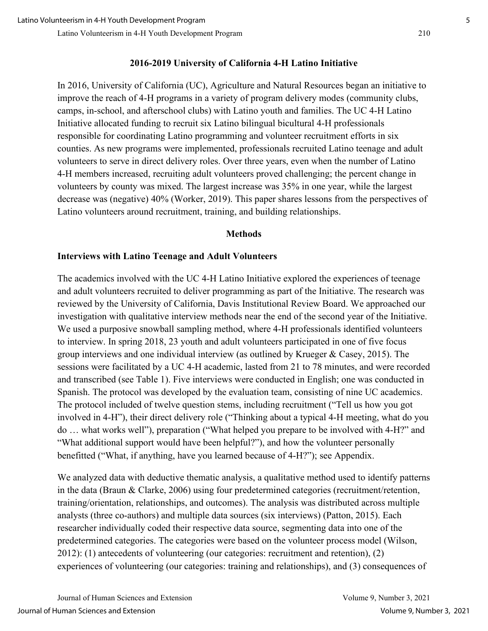## **2016-2019 University of California 4-H Latino Initiative**

In 2016, University of California (UC), Agriculture and Natural Resources began an initiative to improve the reach of 4-H programs in a variety of program delivery modes (community clubs, camps, in-school, and afterschool clubs) with Latino youth and families. The UC 4-H Latino Initiative allocated funding to recruit six Latino bilingual bicultural 4-H professionals responsible for coordinating Latino programming and volunteer recruitment efforts in six counties. As new programs were implemented, professionals recruited Latino teenage and adult volunteers to serve in direct delivery roles. Over three years, even when the number of Latino 4-H members increased, recruiting adult volunteers proved challenging; the percent change in volunteers by county was mixed. The largest increase was 35% in one year, while the largest decrease was (negative) 40% (Worker, 2019). This paper shares lessons from the perspectives of Latino volunteers around recruitment, training, and building relationships.

#### **Methods**

#### **Interviews with Latino Teenage and Adult Volunteers**

The academics involved with the UC 4-H Latino Initiative explored the experiences of teenage and adult volunteers recruited to deliver programming as part of the Initiative. The research was reviewed by the University of California, Davis Institutional Review Board. We approached our investigation with qualitative interview methods near the end of the second year of the Initiative. We used a purposive snowball sampling method, where 4-H professionals identified volunteers to interview. In spring 2018, 23 youth and adult volunteers participated in one of five focus group interviews and one individual interview (as outlined by Krueger & Casey, 2015). The sessions were facilitated by a UC 4-H academic, lasted from 21 to 78 minutes, and were recorded and transcribed (see Table 1). Five interviews were conducted in English; one was conducted in Spanish. The protocol was developed by the evaluation team, consisting of nine UC academics. The protocol included of twelve question stems, including recruitment ("Tell us how you got involved in 4-H"), their direct delivery role ("Thinking about a typical 4-H meeting, what do you do … what works well"), preparation ("What helped you prepare to be involved with 4-H?" and "What additional support would have been helpful?"), and how the volunteer personally benefitted ("What, if anything, have you learned because of 4-H?"); see Appendix.

We analyzed data with deductive thematic analysis, a qualitative method used to identify patterns in the data (Braun & Clarke, 2006) using four predetermined categories (recruitment/retention, training/orientation, relationships, and outcomes). The analysis was distributed across multiple analysts (three co-authors) and multiple data sources (six interviews) (Patton, 2015). Each researcher individually coded their respective data source, segmenting data into one of the predetermined categories. The categories were based on the volunteer process model (Wilson, 2012): (1) antecedents of volunteering (our categories: recruitment and retention), (2) experiences of volunteering (our categories: training and relationships), and (3) consequences of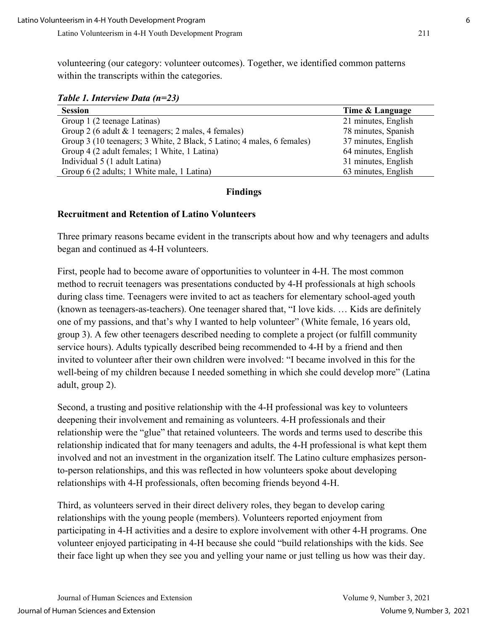volunteering (our category: volunteer outcomes). Together, we identified common patterns within the transcripts within the categories.

*Table 1. Interview Data (n=23)* 

| <b>Session</b>                                                         | Time & Language     |
|------------------------------------------------------------------------|---------------------|
| Group 1 (2 teenage Latinas)                                            | 21 minutes, English |
| Group 2 (6 adult & 1 teenagers; 2 males, 4 females)                    | 78 minutes, Spanish |
| Group 3 (10 teenagers; 3 White, 2 Black, 5 Latino; 4 males, 6 females) | 37 minutes, English |
| Group 4 (2 adult females; 1 White, 1 Latina)                           | 64 minutes, English |
| Individual 5 (1 adult Latina)                                          | 31 minutes, English |
| Group 6 (2 adults; 1 White male, 1 Latina)                             | 63 minutes, English |

#### **Findings**

#### **Recruitment and Retention of Latino Volunteers**

Three primary reasons became evident in the transcripts about how and why teenagers and adults began and continued as 4-H volunteers.

First, people had to become aware of opportunities to volunteer in 4-H. The most common method to recruit teenagers was presentations conducted by 4-H professionals at high schools during class time. Teenagers were invited to act as teachers for elementary school-aged youth (known as teenagers-as-teachers). One teenager shared that, "I love kids. … Kids are definitely one of my passions, and that's why I wanted to help volunteer" (White female, 16 years old, group 3). A few other teenagers described needing to complete a project (or fulfill community service hours). Adults typically described being recommended to 4-H by a friend and then invited to volunteer after their own children were involved: "I became involved in this for the well-being of my children because I needed something in which she could develop more" (Latina adult, group 2).

Second, a trusting and positive relationship with the 4-H professional was key to volunteers deepening their involvement and remaining as volunteers. 4-H professionals and their relationship were the "glue" that retained volunteers. The words and terms used to describe this relationship indicated that for many teenagers and adults, the 4-H professional is what kept them involved and not an investment in the organization itself. The Latino culture emphasizes personto-person relationships, and this was reflected in how volunteers spoke about developing relationships with 4-H professionals, often becoming friends beyond 4-H.

Third, as volunteers served in their direct delivery roles, they began to develop caring relationships with the young people (members). Volunteers reported enjoyment from participating in 4-H activities and a desire to explore involvement with other 4-H programs. One volunteer enjoyed participating in 4-H because she could "build relationships with the kids. See their face light up when they see you and yelling your name or just telling us how was their day.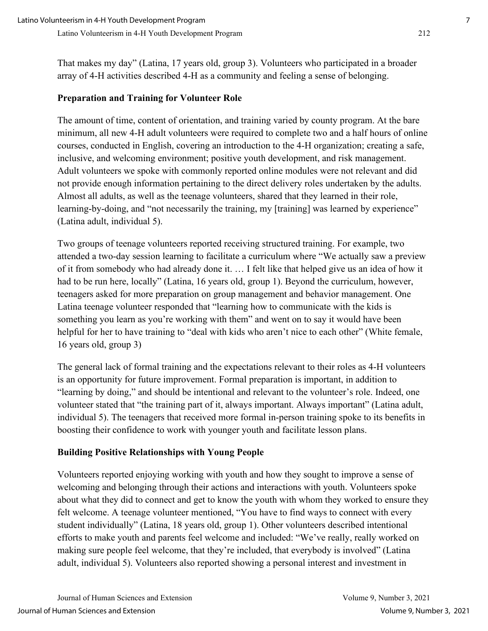That makes my day" (Latina, 17 years old, group 3). Volunteers who participated in a broader array of 4-H activities described 4-H as a community and feeling a sense of belonging.

## **Preparation and Training for Volunteer Role**

The amount of time, content of orientation, and training varied by county program. At the bare minimum, all new 4-H adult volunteers were required to complete two and a half hours of online courses, conducted in English, covering an introduction to the 4-H organization; creating a safe, inclusive, and welcoming environment; positive youth development, and risk management. Adult volunteers we spoke with commonly reported online modules were not relevant and did not provide enough information pertaining to the direct delivery roles undertaken by the adults. Almost all adults, as well as the teenage volunteers, shared that they learned in their role, learning-by-doing, and "not necessarily the training, my [training] was learned by experience" (Latina adult, individual 5).

Two groups of teenage volunteers reported receiving structured training. For example, two attended a two-day session learning to facilitate a curriculum where "We actually saw a preview of it from somebody who had already done it. … I felt like that helped give us an idea of how it had to be run here, locally" (Latina, 16 years old, group 1). Beyond the curriculum, however, teenagers asked for more preparation on group management and behavior management. One Latina teenage volunteer responded that "learning how to communicate with the kids is something you learn as you're working with them" and went on to say it would have been helpful for her to have training to "deal with kids who aren't nice to each other" (White female, 16 years old, group 3)

The general lack of formal training and the expectations relevant to their roles as 4-H volunteers is an opportunity for future improvement. Formal preparation is important, in addition to "learning by doing," and should be intentional and relevant to the volunteer's role. Indeed, one volunteer stated that "the training part of it, always important. Always important" (Latina adult, individual 5). The teenagers that received more formal in-person training spoke to its benefits in boosting their confidence to work with younger youth and facilitate lesson plans.

## **Building Positive Relationships with Young People**

Volunteers reported enjoying working with youth and how they sought to improve a sense of welcoming and belonging through their actions and interactions with youth. Volunteers spoke about what they did to connect and get to know the youth with whom they worked to ensure they felt welcome. A teenage volunteer mentioned, "You have to find ways to connect with every student individually" (Latina, 18 years old, group 1). Other volunteers described intentional efforts to make youth and parents feel welcome and included: "We've really, really worked on making sure people feel welcome, that they're included, that everybody is involved" (Latina adult, individual 5). Volunteers also reported showing a personal interest and investment in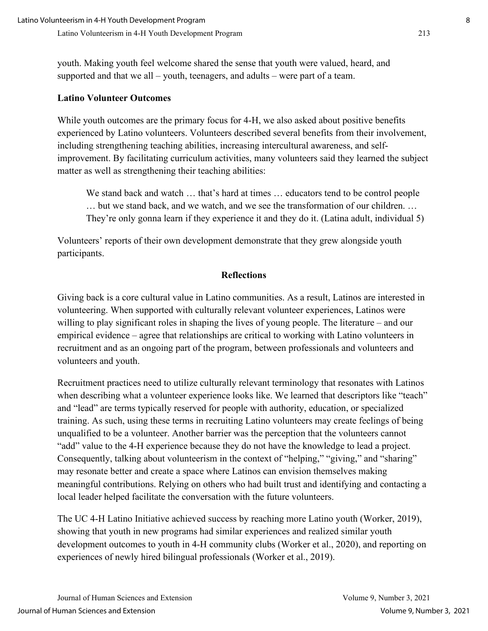youth. Making youth feel welcome shared the sense that youth were valued, heard, and supported and that we all – youth, teenagers, and adults – were part of a team.

#### **Latino Volunteer Outcomes**

While youth outcomes are the primary focus for 4-H, we also asked about positive benefits experienced by Latino volunteers. Volunteers described several benefits from their involvement, including strengthening teaching abilities, increasing intercultural awareness, and selfimprovement. By facilitating curriculum activities, many volunteers said they learned the subject matter as well as strengthening their teaching abilities:

We stand back and watch … that's hard at times … educators tend to be control people … but we stand back, and we watch, and we see the transformation of our children. … They're only gonna learn if they experience it and they do it. (Latina adult, individual 5)

Volunteers' reports of their own development demonstrate that they grew alongside youth participants.

#### **Reflections**

Giving back is a core cultural value in Latino communities. As a result, Latinos are interested in volunteering. When supported with culturally relevant volunteer experiences, Latinos were willing to play significant roles in shaping the lives of young people. The literature – and our empirical evidence – agree that relationships are critical to working with Latino volunteers in recruitment and as an ongoing part of the program, between professionals and volunteers and volunteers and youth.

Recruitment practices need to utilize culturally relevant terminology that resonates with Latinos when describing what a volunteer experience looks like. We learned that descriptors like "teach" and "lead" are terms typically reserved for people with authority, education, or specialized training. As such, using these terms in recruiting Latino volunteers may create feelings of being unqualified to be a volunteer. Another barrier was the perception that the volunteers cannot "add" value to the 4-H experience because they do not have the knowledge to lead a project. Consequently, talking about volunteerism in the context of "helping," "giving," and "sharing" may resonate better and create a space where Latinos can envision themselves making meaningful contributions. Relying on others who had built trust and identifying and contacting a local leader helped facilitate the conversation with the future volunteers.

The UC 4-H Latino Initiative achieved success by reaching more Latino youth (Worker, 2019), showing that youth in new programs had similar experiences and realized similar youth development outcomes to youth in 4-H community clubs (Worker et al., 2020), and reporting on experiences of newly hired bilingual professionals (Worker et al., 2019).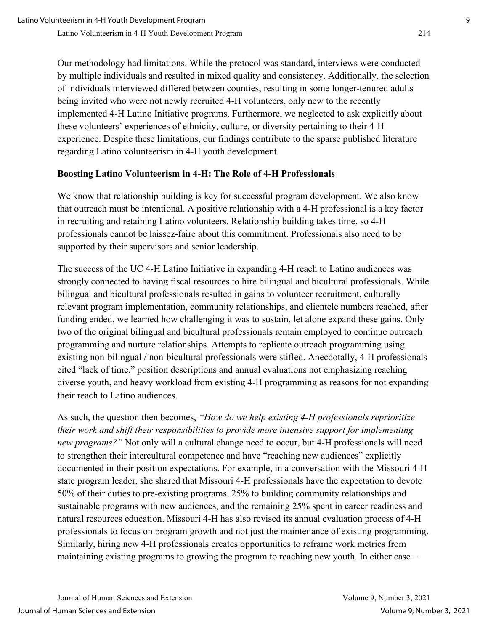Our methodology had limitations. While the protocol was standard, interviews were conducted by multiple individuals and resulted in mixed quality and consistency. Additionally, the selection of individuals interviewed differed between counties, resulting in some longer-tenured adults being invited who were not newly recruited 4-H volunteers, only new to the recently implemented 4-H Latino Initiative programs. Furthermore, we neglected to ask explicitly about these volunteers' experiences of ethnicity, culture, or diversity pertaining to their 4-H experience. Despite these limitations, our findings contribute to the sparse published literature regarding Latino volunteerism in 4-H youth development.

## **Boosting Latino Volunteerism in 4-H: The Role of 4-H Professionals**

We know that relationship building is key for successful program development. We also know that outreach must be intentional. A positive relationship with a 4-H professional is a key factor in recruiting and retaining Latino volunteers. Relationship building takes time, so 4-H professionals cannot be laissez-faire about this commitment. Professionals also need to be supported by their supervisors and senior leadership.

The success of the UC 4-H Latino Initiative in expanding 4-H reach to Latino audiences was strongly connected to having fiscal resources to hire bilingual and bicultural professionals. While bilingual and bicultural professionals resulted in gains to volunteer recruitment, culturally relevant program implementation, community relationships, and clientele numbers reached, after funding ended, we learned how challenging it was to sustain, let alone expand these gains. Only two of the original bilingual and bicultural professionals remain employed to continue outreach programming and nurture relationships. Attempts to replicate outreach programming using existing non-bilingual / non-bicultural professionals were stifled. Anecdotally, 4-H professionals cited "lack of time," position descriptions and annual evaluations not emphasizing reaching diverse youth, and heavy workload from existing 4-H programming as reasons for not expanding their reach to Latino audiences.

As such, the question then becomes, *"How do we help existing 4-H professionals reprioritize their work and shift their responsibilities to provide more intensive support for implementing new programs?"* Not only will a cultural change need to occur, but 4-H professionals will need to strengthen their intercultural competence and have "reaching new audiences" explicitly documented in their position expectations. For example, in a conversation with the Missouri 4-H state program leader, she shared that Missouri 4-H professionals have the expectation to devote 50% of their duties to pre-existing programs, 25% to building community relationships and sustainable programs with new audiences, and the remaining 25% spent in career readiness and natural resources education. Missouri 4-H has also revised its annual evaluation process of 4-H professionals to focus on program growth and not just the maintenance of existing programming. Similarly, hiring new 4-H professionals creates opportunities to reframe work metrics from maintaining existing programs to growing the program to reaching new youth. In either case –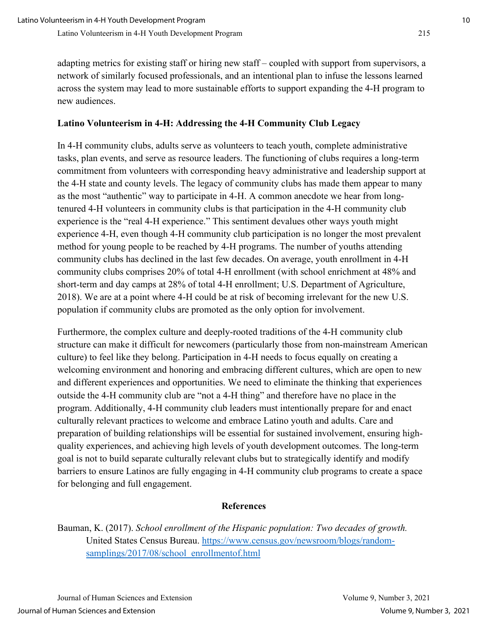adapting metrics for existing staff or hiring new staff – coupled with support from supervisors, a network of similarly focused professionals, and an intentional plan to infuse the lessons learned across the system may lead to more sustainable efforts to support expanding the 4-H program to new audiences.

## **Latino Volunteerism in 4-H: Addressing the 4-H Community Club Legacy**

In 4-H community clubs, adults serve as volunteers to teach youth, complete administrative tasks, plan events, and serve as resource leaders. The functioning of clubs requires a long-term commitment from volunteers with corresponding heavy administrative and leadership support at the 4-H state and county levels. The legacy of community clubs has made them appear to many as the most "authentic" way to participate in 4-H. A common anecdote we hear from longtenured 4-H volunteers in community clubs is that participation in the 4-H community club experience is the "real 4-H experience." This sentiment devalues other ways youth might experience 4-H, even though 4-H community club participation is no longer the most prevalent method for young people to be reached by 4-H programs. The number of youths attending community clubs has declined in the last few decades. On average, youth enrollment in 4-H community clubs comprises 20% of total 4-H enrollment (with school enrichment at 48% and short-term and day camps at 28% of total 4-H enrollment; U.S. Department of Agriculture, 2018). We are at a point where 4-H could be at risk of becoming irrelevant for the new U.S. population if community clubs are promoted as the only option for involvement.

Furthermore, the complex culture and deeply-rooted traditions of the 4-H community club structure can make it difficult for newcomers (particularly those from non-mainstream American culture) to feel like they belong. Participation in 4-H needs to focus equally on creating a welcoming environment and honoring and embracing different cultures, which are open to new and different experiences and opportunities. We need to eliminate the thinking that experiences outside the 4-H community club are "not a 4-H thing" and therefore have no place in the program. Additionally, 4-H community club leaders must intentionally prepare for and enact culturally relevant practices to welcome and embrace Latino youth and adults. Care and preparation of building relationships will be essential for sustained involvement, ensuring highquality experiences, and achieving high levels of youth development outcomes. The long-term goal is not to build separate culturally relevant clubs but to strategically identify and modify barriers to ensure Latinos are fully engaging in 4-H community club programs to create a space for belonging and full engagement.

## **References**

Bauman, K. (2017). *School enrollment of the Hispanic population: Two decades of growth.* United States Census Bureau. [https://www.census.gov/newsroom/blogs/random](https://www.census.gov/newsroom/blogs/random-samplings/2017/08/school_enrollmentof.html)[samplings/2017/08/school\\_enrollmentof.html](https://www.census.gov/newsroom/blogs/random-samplings/2017/08/school_enrollmentof.html)

Journal of Human Sciences and Extension Volume 9, Number 3, 2021 Journal of Human Sciences and Extension Volume 9, Number 3, 2021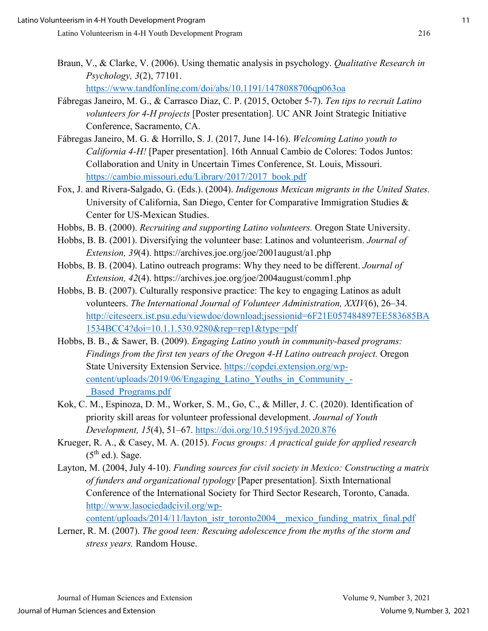Braun, V., & Clarke, V. (2006). Using thematic analysis in psychology. *Qualitative Research in Psychology, 3*(2), 77101.

<https://www.tandfonline.com/doi/abs/10.1191/1478088706qp063oa>

- Fábregas Janeiro, M. G., & Carrasco Diaz, C. P. (2015, October 5-7). *Ten tips to recruit Latino volunteers for 4-H projects* [Poster presentation]. UC ANR Joint Strategic Initiative Conference, Sacramento, CA.
- Fábregas Janeiro, M. G. & Horrillo, S. J. (2017, June 14-16). *Welcoming Latino youth to California 4-H!* [Paper presentation]. 16th Annual Cambio de Colores: Todos Juntos: Collaboration and Unity in Uncertain Times Conference, St. Louis, Missouri. [https://cambio.missouri.edu/Library/2017/2017\\_book.pdf](https://cambio.missouri.edu/Library/2017/2017_book.pdf)
- Fox, J. and Rivera-Salgado, G. (Eds.). (2004). *Indigenous Mexican migrants in the United States.*  University of California, San Diego, Center for Comparative Immigration Studies & Center for US-Mexican Studies.
- Hobbs, B. B. (2000). *Recruiting and supporting Latino volunteers.* Oregon State University.
- Hobbs, B. B. (2001). Diversifying the volunteer base: Latinos and volunteerism. *Journal of Extension, 39*(4). https://archives.joe.org/joe/2001august/a1.php
- Hobbs, B. B. (2004). Latino outreach programs: Why they need to be different. *Journal of Extension, 42*(4). https://archives.joe.org/joe/2004august/comm1.php
- Hobbs, B. B. (2007). Culturally responsive practice: The key to engaging Latinos as adult volunteers. *The International Journal of Volunteer Administration, XXIV*(6), 26–34. [http://citeseerx.ist.psu.edu/viewdoc/download;jsessionid=6F21E057484897EE583685BA](http://citeseerx.ist.psu.edu/viewdoc/download;jsessionid=6F21E057484897EE583685BA1534BCC4?doi=10.1.1.530.9280&rep=rep1&type=pdf) [1534BCC4?doi=10.1.1.530.9280&rep=rep1&type=pdf](http://citeseerx.ist.psu.edu/viewdoc/download;jsessionid=6F21E057484897EE583685BA1534BCC4?doi=10.1.1.530.9280&rep=rep1&type=pdf)
- Hobbs, B. B., & Sawer, B. (2009). *Engaging Latino youth in community-based programs: Findings from the first ten years of the Oregon 4-H Latino outreach project.* Oregon State University Extension Service. [https://copdei.extension.org/wp](https://copdei.extension.org/wp-content/uploads/2019/06/Engaging_Latino_Youths_in_Community_-_Based_Programs.pdf)[content/uploads/2019/06/Engaging\\_Latino\\_Youths\\_in\\_Community\\_-](https://copdei.extension.org/wp-content/uploads/2019/06/Engaging_Latino_Youths_in_Community_-_Based_Programs.pdf) [\\_Based\\_Programs.pdf](https://copdei.extension.org/wp-content/uploads/2019/06/Engaging_Latino_Youths_in_Community_-_Based_Programs.pdf)
- Kok, C. M., Espinoza, D. M., Worker, S. M., Go, C., & Miller, J. C. (2020). Identification of priority skill areas for volunteer professional development. *Journal of Youth Development, 15*(4), 51–67.<https://doi.org/10.5195/jyd.2020.876>
- Krueger, R. A., & Casey, M. A. (2015). *Focus groups: A practical guide for applied research*  $(5<sup>th</sup>$  ed.). Sage.
- Layton, M. (2004, July 4-10). *Funding sources for civil society in Mexico: Constructing a matrix of funders and organizational typology* [Paper presentation]. Sixth International Conference of the International Society for Third Sector Research, Toronto, Canada. [http://www.lasociedadcivil.org/wp](http://www.lasociedadcivil.org/wp-content/uploads/2014/11/layton_istr_toronto2004__mexico_funding_matrix_final.pdf)content/uploads/2014/11/layton\_istr\_toronto2004\_\_mexico\_funding\_matrix\_final.pdf
- Lerner, R. M. (2007). *The good teen: Rescuing adolescence from the myths of the storm and stress years.* Random House.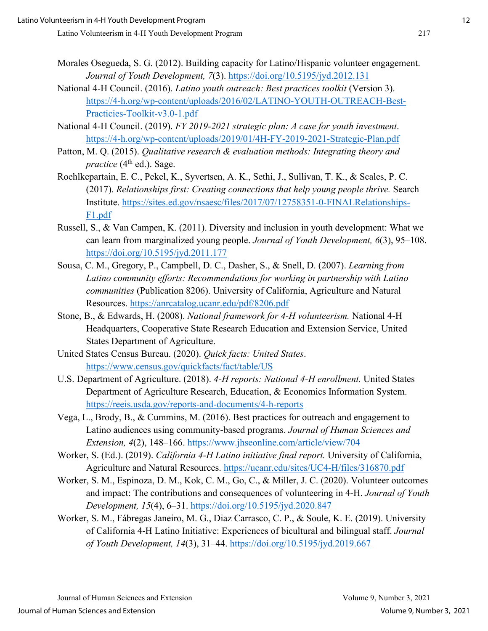- Morales Osegueda, S. G. (2012). Building capacity for Latino/Hispanic volunteer engagement. *Journal of Youth Development, 7*(3).<https://doi.org/10.5195/jyd.2012.131>
- National 4-H Council. (2016). *Latino youth outreach: Best practices toolkit* (Version 3). [https://4-h.org/wp-content/uploads/2016/02/LATINO-YOUTH-OUTREACH-Best-](https://4-h.org/wp-content/uploads/2016/02/LATINO-YOUTH-OUTREACH-Best-Practicies-Toolkit-v3.0-1.pdf)[Practicies-Toolkit-v3.0-1.pdf](https://4-h.org/wp-content/uploads/2016/02/LATINO-YOUTH-OUTREACH-Best-Practicies-Toolkit-v3.0-1.pdf)
- National 4-H Council. (2019). *FY 2019-2021 strategic plan: A case for youth investment*. <https://4-h.org/wp-content/uploads/2019/01/4H-FY-2019-2021-Strategic-Plan.pdf>
- Patton, M. Q. (2015). *Qualitative research & evaluation methods: Integrating theory and practice* (4<sup>th</sup> ed.). Sage.
- Roehlkepartain, E. C., Pekel, K., Syvertsen, A. K., Sethi, J., Sullivan, T. K., & Scales, P. C. (2017). *Relationships first: Creating connections that help young people thrive.* Search Institute. [https://sites.ed.gov/nsaesc/files/2017/07/12758351-0-FINALRelationships-](https://sites.ed.gov/nsaesc/files/2017/07/12758351-0-FINALRelationships-F1.pdf)[F1.pdf](https://sites.ed.gov/nsaesc/files/2017/07/12758351-0-FINALRelationships-F1.pdf)
- Russell, S., & Van Campen, K. (2011). Diversity and inclusion in youth development: What we can learn from marginalized young people. *Journal of Youth Development, 6*(3), 95–108. <https://doi.org/10.5195/jyd.2011.177>
- Sousa, C. M., Gregory, P., Campbell, D. C., Dasher, S., & Snell, D. (2007). *Learning from Latino community efforts: Recommendations for working in partnership with Latino communities* (Publication 8206). University of California, Agriculture and Natural Resources. <https://anrcatalog.ucanr.edu/pdf/8206.pdf>
- Stone, B., & Edwards, H. (2008). *National framework for 4-H volunteerism.* National 4-H Headquarters, Cooperative State Research Education and Extension Service, United States Department of Agriculture.
- United States Census Bureau. (2020). *Quick facts: United States*. <https://www.census.gov/quickfacts/fact/table/US>
- U.S. Department of Agriculture. (2018). *4-H reports: National 4-H enrollment.* United States Department of Agriculture Research, Education, & Economics Information System. <https://reeis.usda.gov/reports-and-documents/4-h-reports>
- Vega, L., Brody, B., & Cummins, M. (2016). Best practices for outreach and engagement to Latino audiences using community-based programs. *Journal of Human Sciences and Extension, 4*(2), 148–166.<https://www.jhseonline.com/article/view/704>
- Worker, S. (Ed.). (2019). *California 4-H Latino initiative final report.* University of California, Agriculture and Natural Resources.<https://ucanr.edu/sites/UC4-H/files/316870.pdf>
- Worker, S. M., Espinoza, D. M., Kok, C. M., Go, C., & Miller, J. C. (2020). Volunteer outcomes and impact: The contributions and consequences of volunteering in 4-H. *Journal of Youth Development, 15*(4), 6–31.<https://doi.org/10.5195/jyd.2020.847>
- Worker, S. M., Fábregas Janeiro, M. G., Diaz Carrasco, C. P., & Soule, K. E. (2019). University of California 4-H Latino Initiative: Experiences of bicultural and bilingual staff. *Journal of Youth Development, 14*(3), 31–44.<https://doi.org/10.5195/jyd.2019.667>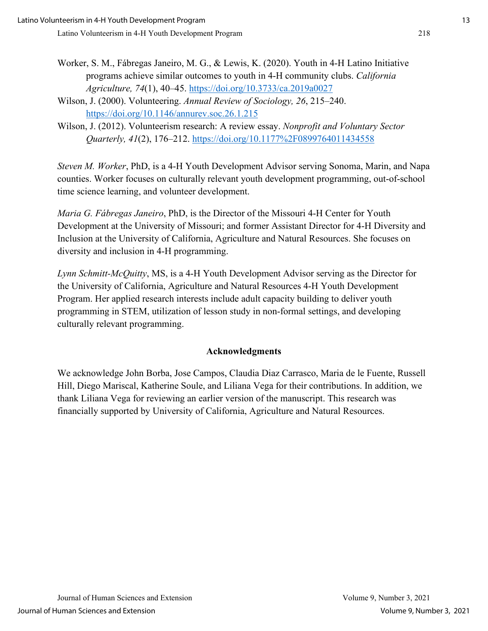- Worker, S. M., Fábregas Janeiro, M. G., & Lewis, K. (2020). Youth in 4-H Latino Initiative programs achieve similar outcomes to youth in 4-H community clubs. *California Agriculture, 74*(1), 40–45.<https://doi.org/10.3733/ca.2019a0027>
- Wilson, J. (2000). Volunteering. *Annual Review of Sociology, 26*, 215–240. <https://doi.org/10.1146/annurev.soc.26.1.215>
- Wilson, J. (2012). Volunteerism research: A review essay. *Nonprofit and Voluntary Sector Quarterly, 41*(2), 176–212.<https://doi.org/10.1177%2F0899764011434558>

*Steven M. Worker*, PhD, is a 4-H Youth Development Advisor serving Sonoma, Marin, and Napa counties. Worker focuses on culturally relevant youth development programming, out-of-school time science learning, and volunteer development.

*Maria G. Fábregas Janeiro*, PhD, is the Director of the Missouri 4-H Center for Youth Development at the University of Missouri; and former Assistant Director for 4-H Diversity and Inclusion at the University of California, Agriculture and Natural Resources. She focuses on diversity and inclusion in 4-H programming.

*Lynn Schmitt-McQuitty*, MS, is a 4-H Youth Development Advisor serving as the Director for the University of California, Agriculture and Natural Resources 4-H Youth Development Program. Her applied research interests include adult capacity building to deliver youth programming in STEM, utilization of lesson study in non-formal settings, and developing culturally relevant programming.

## **Acknowledgments**

We acknowledge John Borba, Jose Campos, Claudia Diaz Carrasco, Maria de le Fuente, Russell Hill, Diego Mariscal, Katherine Soule, and Liliana Vega for their contributions. In addition, we thank Liliana Vega for reviewing an earlier version of the manuscript. This research was financially supported by University of California, Agriculture and Natural Resources.